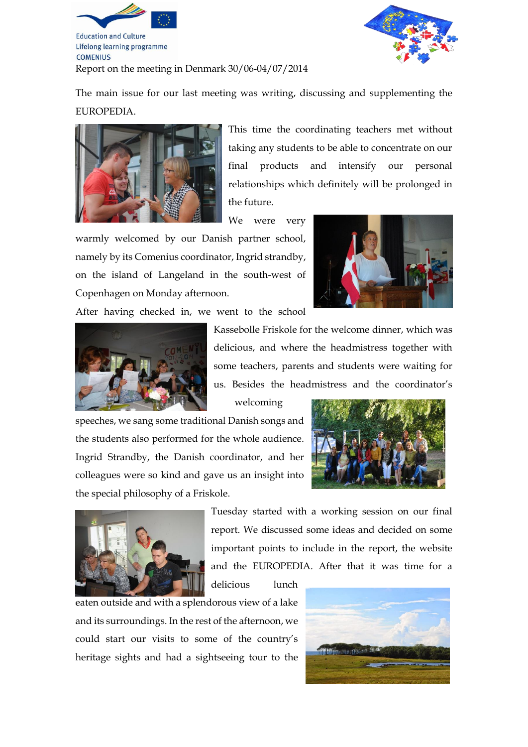

**Education and Culture** Lifelong learning programme **COMENIUS** 



Report on the meeting in Denmark 30/06-04/07/2014

The main issue for our last meeting was writing, discussing and supplementing the EUROPEDIA.



This time the coordinating teachers met without taking any students to be able to concentrate on our final products and intensify our personal relationships which definitely will be prolonged in the future.

We were very

warmly welcomed by our Danish partner school, namely by its Comenius coordinator, Ingrid strandby, on the island of Langeland in the south-west of Copenhagen on Monday afternoon.



After having checked in, we went to the school



Kassebolle Friskole for the welcome dinner, which was delicious, and where the headmistress together with some teachers, parents and students were waiting for us. Besides the headmistress and the coordinator's

welcoming

delicious lunch

speeches, we sang some traditional Danish songs and the students also performed for the whole audience. Ingrid Strandby, the Danish coordinator, and her colleagues were so kind and gave us an insight into the special philosophy of a Friskole.





Tuesday started with a working session on our final report. We discussed some ideas and decided on some important points to include in the report, the website and the EUROPEDIA. After that it was time for a

eaten outside and with a splendorous view of a lake and its surroundings. In the rest of the afternoon, we could start our visits to some of the country's heritage sights and had a sightseeing tour to the

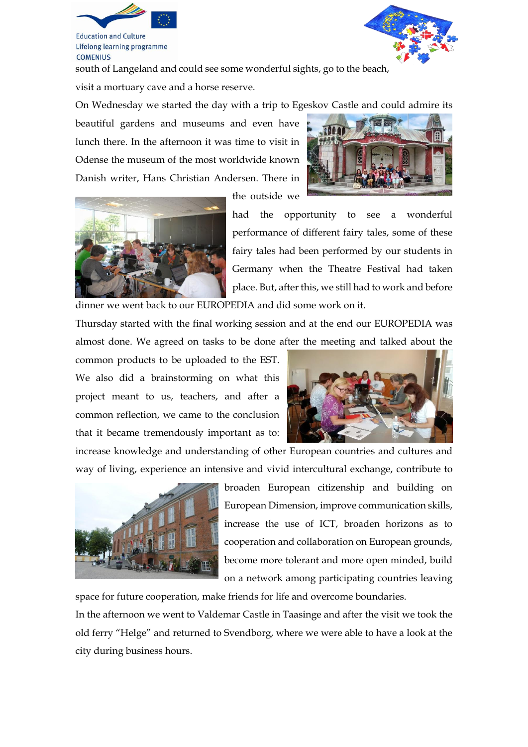

**Education and Culture** Lifelong learning programme **COMENIUS** 

south of Langeland and could see some wonderful sights, go to the beach,

visit a mortuary cave and a horse reserve.

On Wednesday we started the day with a trip to Egeskov Castle and could admire its

beautiful gardens and museums and even have lunch there. In the afternoon it was time to visit in Odense the museum of the most worldwide known Danish writer, Hans Christian Andersen. There in



the outside we



had the opportunity to see a wonderful performance of different fairy tales, some of these fairy tales had been performed by our students in Germany when the Theatre Festival had taken place. But, after this, we still had to work and before dinner we went back to our EUROPEDIA and did some work on it.

Thursday started with the final working session and at the end our EUROPEDIA was almost done. We agreed on tasks to be done after the meeting and talked about the

common products to be uploaded to the EST. We also did a brainstorming on what this project meant to us, teachers, and after a common reflection, we came to the conclusion that it became tremendously important as to:



increase knowledge and understanding of other European countries and cultures and way of living, experience an intensive and vivid intercultural exchange, contribute to



broaden European citizenship and building on European Dimension, improve communication skills, increase the use of ICT, broaden horizons as to cooperation and collaboration on European grounds, become more tolerant and more open minded, build on a network among participating countries leaving

space for future cooperation, make friends for life and overcome boundaries.

In the afternoon we went to Valdemar Castle in Taasinge and after the visit we took the old ferry "Helge" and returned to Svendborg, where we were able to have a look at the city during business hours.